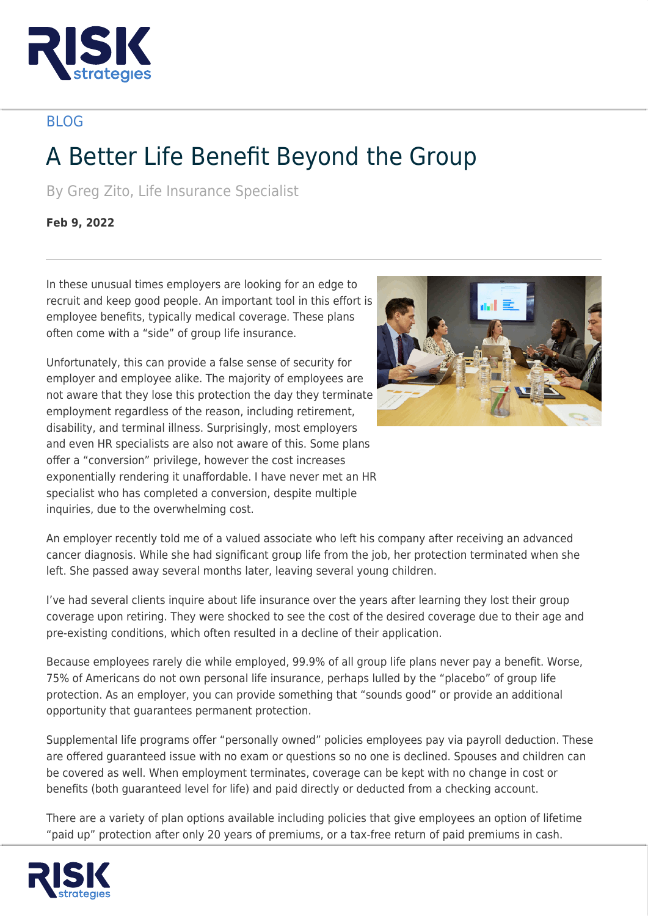

## BLOG

## A Better Life Benefit Beyond the Group

By Greg Zito, Life Insurance Specialist

**Feb 9, 2022**

In these unusual times employers are looking for an edge to recruit and keep good people. An important tool in this effort is employee benefits, typically medical coverage. These plans often come with a "side" of group life insurance.

Unfortunately, this can provide a false sense of security for employer and employee alike. The majority of employees are not aware that they lose this protection the day they terminate employment regardless of the reason, including retirement, disability, and terminal illness. Surprisingly, most employers and even HR specialists are also not aware of this. Some plans offer a "conversion" privilege, however the cost increases exponentially rendering it unaffordable. I have never met an HR specialist who has completed a conversion, despite multiple inquiries, due to the overwhelming cost.



An employer recently told me of a valued associate who left his company after receiving an advanced cancer diagnosis. While she had significant group life from the job, her protection terminated when she left. She passed away several months later, leaving several young children.

I've had several clients inquire about life insurance over the years after learning they lost their group coverage upon retiring. They were shocked to see the cost of the desired coverage due to their age and pre-existing conditions, which often resulted in a decline of their application.

Because employees rarely die while employed, 99.9% of all group life plans never pay a benefit. Worse, 75% of Americans do not own personal life insurance, perhaps lulled by the "placebo" of group life protection. As an employer, you can provide something that "sounds good" or provide an additional opportunity that guarantees permanent protection.

Supplemental life programs offer "personally owned" policies employees pay via payroll deduction. These are offered guaranteed issue with no exam or questions so no one is declined. Spouses and children can be covered as well. When employment terminates, coverage can be kept with no change in cost or benefits (both guaranteed level for life) and paid directly or deducted from a checking account.

There are a variety of plan options available including policies that give employees an option of lifetime "paid up" protection after only 20 years of premiums, or a tax-free return of paid premiums in cash.